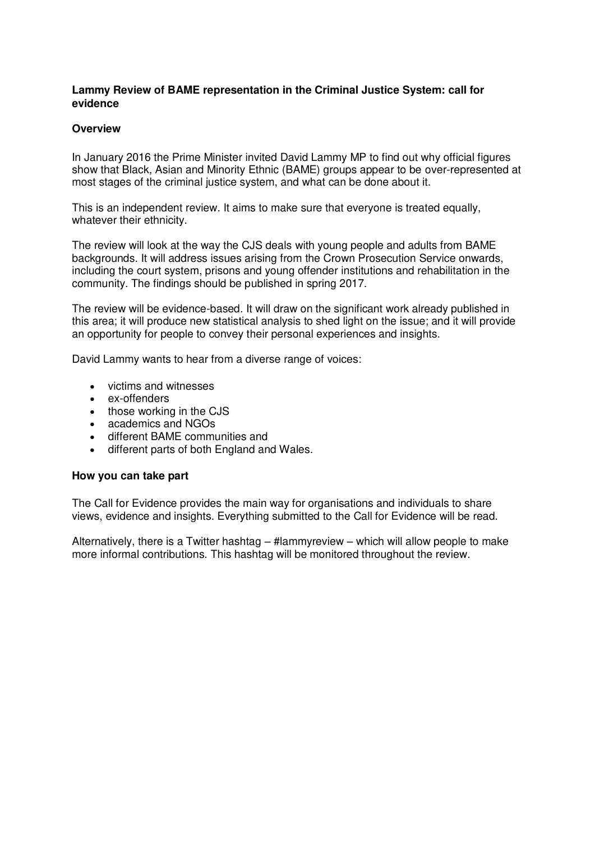### **Lammy Review of BAME representation in the Criminal Justice System: call for evidence**

#### **Overview**

In January 2016 the Prime Minister invited David Lammy MP to find out why official figures show that Black, Asian and Minority Ethnic (BAME) groups appear to be over-represented at most stages of the criminal justice system, and what can be done about it.

This is an independent review. It aims to make sure that everyone is treated equally, whatever their ethnicity.

The review will look at the way the CJS deals with young people and adults from BAME backgrounds. It will address issues arising from the Crown Prosecution Service onwards, including the court system, prisons and young offender institutions and rehabilitation in the community. The findings should be published in spring 2017.

The review will be evidence-based. It will draw on the significant work already published in this area; it will produce new statistical analysis to shed light on the issue; and it will provide an opportunity for people to convey their personal experiences and insights.

David Lammy wants to hear from a diverse range of voices:

- victims and witnesses
- ex-offenders
- those working in the CJS
- academics and NGOs
- different BAME communities and
- different parts of both England and Wales.

#### **How you can take part**

The Call for Evidence provides the main way for organisations and individuals to share views, evidence and insights. Everything submitted to the Call for Evidence will be read.

Alternatively, there is a Twitter hashtag – #lammyreview – which will allow people to make more informal contributions. This hashtag will be monitored throughout the review.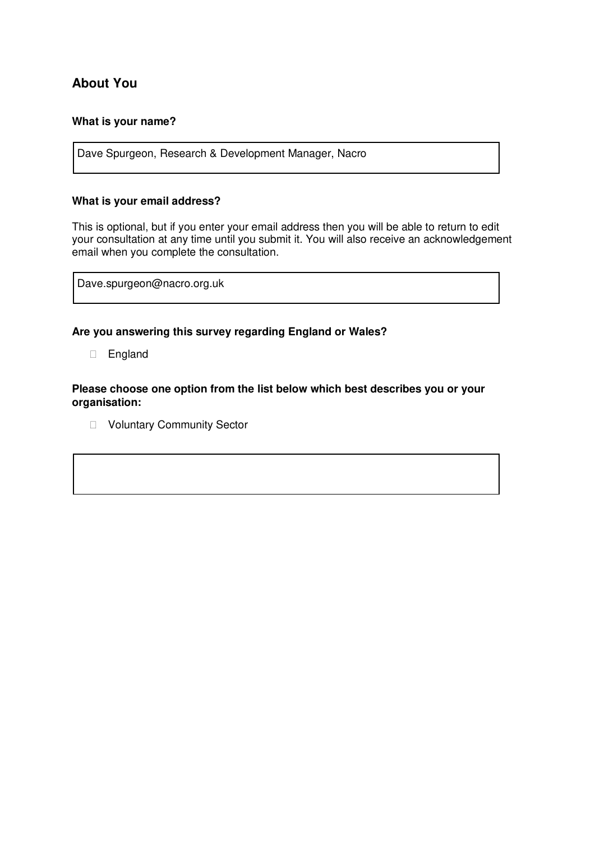# **About You**

### **What is your name?**

Dave Spurgeon, Research & Development Manager, Nacro

#### **What is your email address?**

This is optional, but if you enter your email address then you will be able to return to edit your consultation at any time until you submit it. You will also receive an acknowledgement email when you complete the consultation.

Dave.spurgeon@nacro.org.uk

#### **Are you answering this survey regarding England or Wales?**

England

**Please choose one option from the list below which best describes you or your organisation:** 

**D** Voluntary Community Sector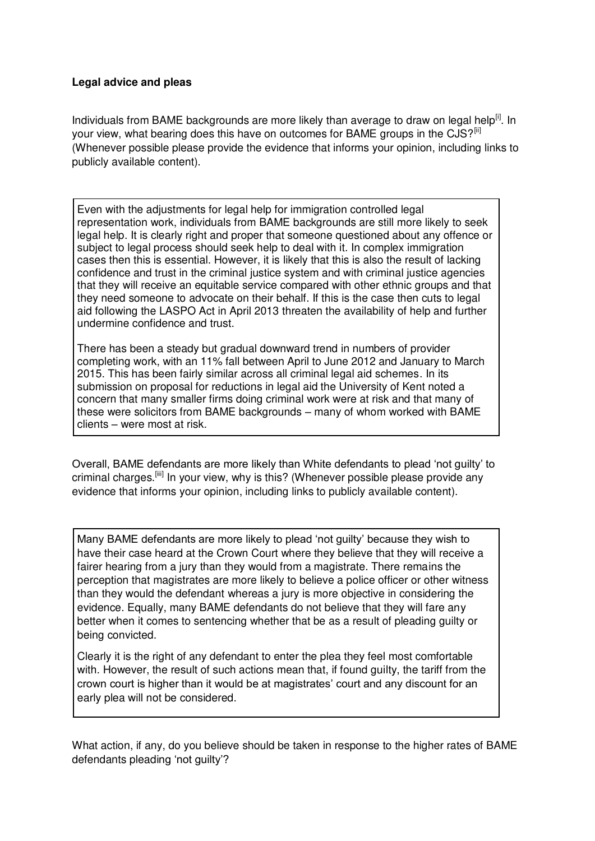## **Legal advice and pleas**

Individuals from BAME backgrounds are more likely than average to draw on legal help $^{[i]}$ . In your view, what bearing does this have on outcomes for BAME groups in the CJS?<sup>[ii]</sup> (Whenever possible please provide the evidence that informs your opinion, including links to publicly available content).

Even with the adjustments for legal help for immigration controlled legal representation work, individuals from BAME backgrounds are still more likely to seek legal help. It is clearly right and proper that someone questioned about any offence or subject to legal process should seek help to deal with it. In complex immigration cases then this is essential. However, it is likely that this is also the result of lacking confidence and trust in the criminal justice system and with criminal justice agencies that they will receive an equitable service compared with other ethnic groups and that they need someone to advocate on their behalf. If this is the case then cuts to legal aid following the LASPO Act in April 2013 threaten the availability of help and further undermine confidence and trust.

There has been a steady but gradual downward trend in numbers of provider completing work, with an 11% fall between April to June 2012 and January to March 2015. This has been fairly similar across all criminal legal aid schemes. In its submission on proposal for reductions in legal aid the University of Kent noted a concern that many smaller firms doing criminal work were at risk and that many of these were solicitors from BAME backgrounds – many of whom worked with BAME clients – were most at risk.

Overall, BAME defendants are more likely than White defendants to plead 'not guilty' to criminal charges.<sup>[iii]</sup> In your view, why is this? (Whenever possible please provide any evidence that informs your opinion, including links to publicly available content).

Many BAME defendants are more likely to plead 'not guilty' because they wish to have their case heard at the Crown Court where they believe that they will receive a fairer hearing from a jury than they would from a magistrate. There remains the perception that magistrates are more likely to believe a police officer or other witness than they would the defendant whereas a jury is more objective in considering the evidence. Equally, many BAME defendants do not believe that they will fare any better when it comes to sentencing whether that be as a result of pleading guilty or being convicted.

Clearly it is the right of any defendant to enter the plea they feel most comfortable with. However, the result of such actions mean that, if found guilty, the tariff from the crown court is higher than it would be at magistrates' court and any discount for an early plea will not be considered.

What action, if any, do you believe should be taken in response to the higher rates of BAME defendants pleading 'not guilty'?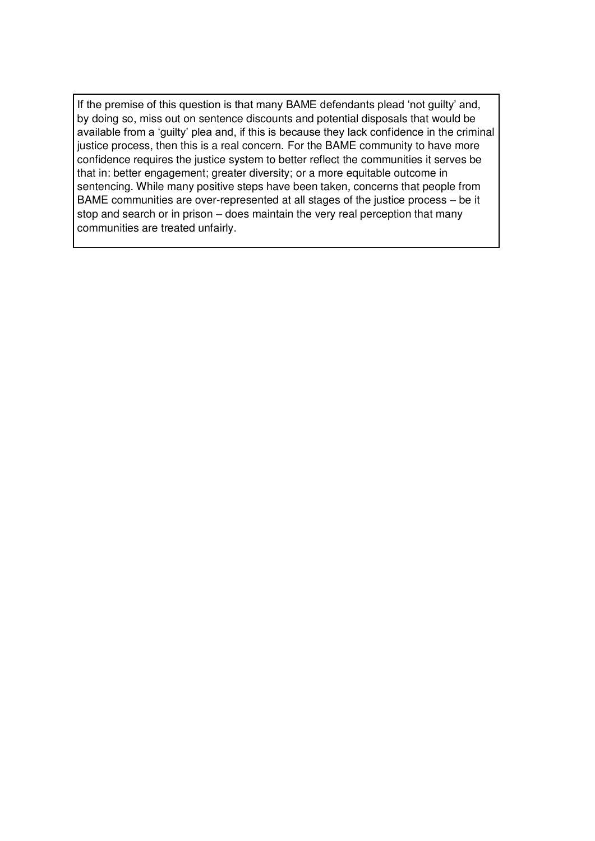If the premise of this question is that many BAME defendants plead 'not guilty' and, by doing so, miss out on sentence discounts and potential disposals that would be available from a 'guilty' plea and, if this is because they lack confidence in the criminal justice process, then this is a real concern. For the BAME community to have more confidence requires the justice system to better reflect the communities it serves be that in: better engagement; greater diversity; or a more equitable outcome in sentencing. While many positive steps have been taken, concerns that people from BAME communities are over-represented at all stages of the justice process – be it stop and search or in prison – does maintain the very real perception that many communities are treated unfairly.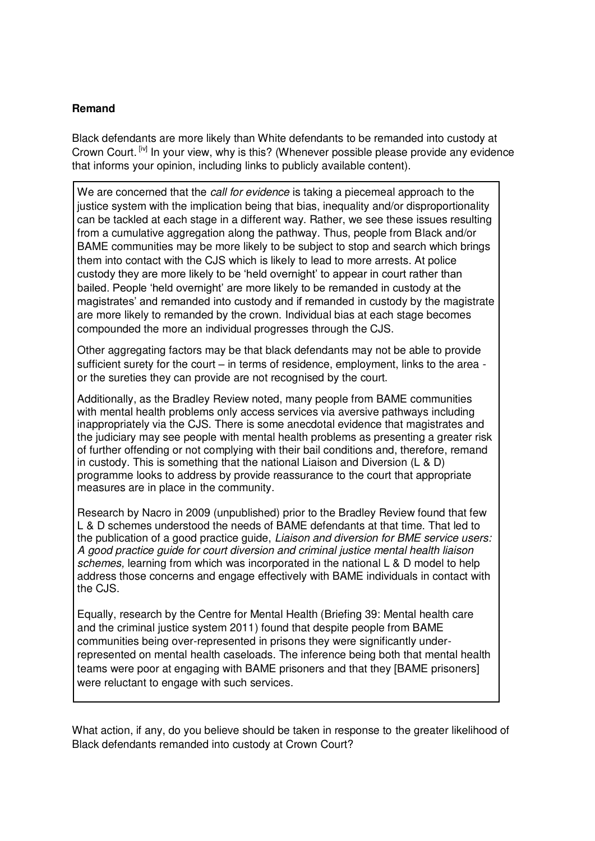## **Remand**

Black defendants are more likely than White defendants to be remanded into custody at Crown Court. [iv] In your view, why is this? (Whenever possible please provide any evidence that informs your opinion, including links to publicly available content).

We are concerned that the *call for evidence* is taking a piecemeal approach to the justice system with the implication being that bias, inequality and/or disproportionality can be tackled at each stage in a different way. Rather, we see these issues resulting from a cumulative aggregation along the pathway. Thus, people from Black and/or BAME communities may be more likely to be subject to stop and search which brings them into contact with the CJS which is likely to lead to more arrests. At police custody they are more likely to be 'held overnight' to appear in court rather than bailed. People 'held overnight' are more likely to be remanded in custody at the magistrates' and remanded into custody and if remanded in custody by the magistrate are more likely to remanded by the crown. Individual bias at each stage becomes compounded the more an individual progresses through the CJS.

Other aggregating factors may be that black defendants may not be able to provide sufficient surety for the court – in terms of residence, employment, links to the area or the sureties they can provide are not recognised by the court.

Additionally, as the Bradley Review noted, many people from BAME communities with mental health problems only access services via aversive pathways including inappropriately via the CJS. There is some anecdotal evidence that magistrates and the judiciary may see people with mental health problems as presenting a greater risk of further offending or not complying with their bail conditions and, therefore, remand in custody. This is something that the national Liaison and Diversion (L & D) programme looks to address by provide reassurance to the court that appropriate measures are in place in the community.

Research by Nacro in 2009 (unpublished) prior to the Bradley Review found that few L & D schemes understood the needs of BAME defendants at that time. That led to the publication of a good practice guide, *Liaison and diversion for BME service users: A good practice guide for court diversion and criminal justice mental health liaison schemes,* learning from which was incorporated in the national L & D model to help address those concerns and engage effectively with BAME individuals in contact with the CJS.

Equally, research by the Centre for Mental Health (Briefing 39: Mental health care and the criminal justice system 2011) found that despite people from BAME communities being over-represented in prisons they were significantly underrepresented on mental health caseloads. The inference being both that mental health teams were poor at engaging with BAME prisoners and that they [BAME prisoners] were reluctant to engage with such services.

What action, if any, do you believe should be taken in response to the greater likelihood of Black defendants remanded into custody at Crown Court?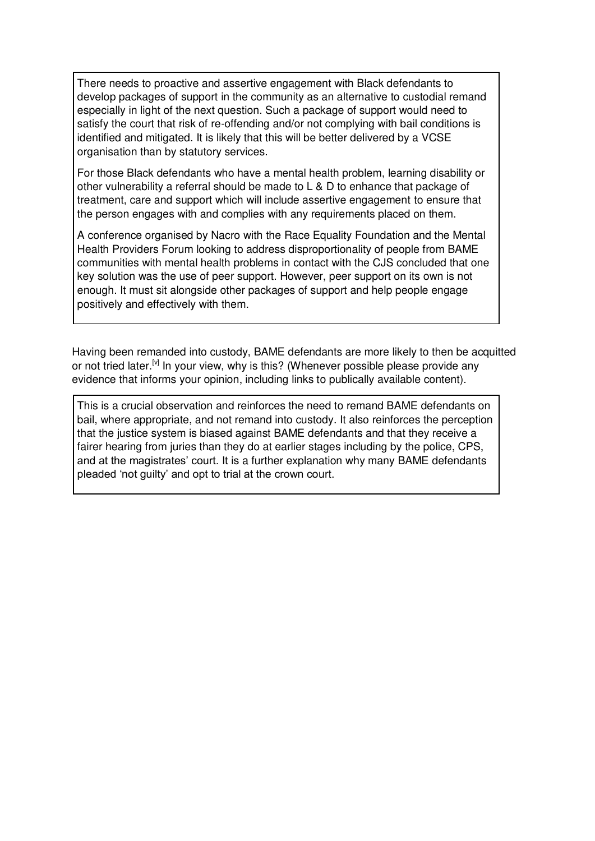There needs to proactive and assertive engagement with Black defendants to develop packages of support in the community as an alternative to custodial remand especially in light of the next question. Such a package of support would need to satisfy the court that risk of re-offending and/or not complying with bail conditions is identified and mitigated. It is likely that this will be better delivered by a VCSE organisation than by statutory services.

For those Black defendants who have a mental health problem, learning disability or other vulnerability a referral should be made to L & D to enhance that package of treatment, care and support which will include assertive engagement to ensure that the person engages with and complies with any requirements placed on them.

A conference organised by Nacro with the Race Equality Foundation and the Mental Health Providers Forum looking to address disproportionality of people from BAME communities with mental health problems in contact with the CJS concluded that one key solution was the use of peer support. However, peer support on its own is not enough. It must sit alongside other packages of support and help people engage positively and effectively with them.

Having been remanded into custody, BAME defendants are more likely to then be acquitted or not tried later.<sup>[v]</sup> In your view, why is this? (Whenever possible please provide any evidence that informs your opinion, including links to publically available content).

This is a crucial observation and reinforces the need to remand BAME defendants on bail, where appropriate, and not remand into custody. It also reinforces the perception that the justice system is biased against BAME defendants and that they receive a fairer hearing from juries than they do at earlier stages including by the police, CPS, and at the magistrates' court. It is a further explanation why many BAME defendants pleaded 'not guilty' and opt to trial at the crown court.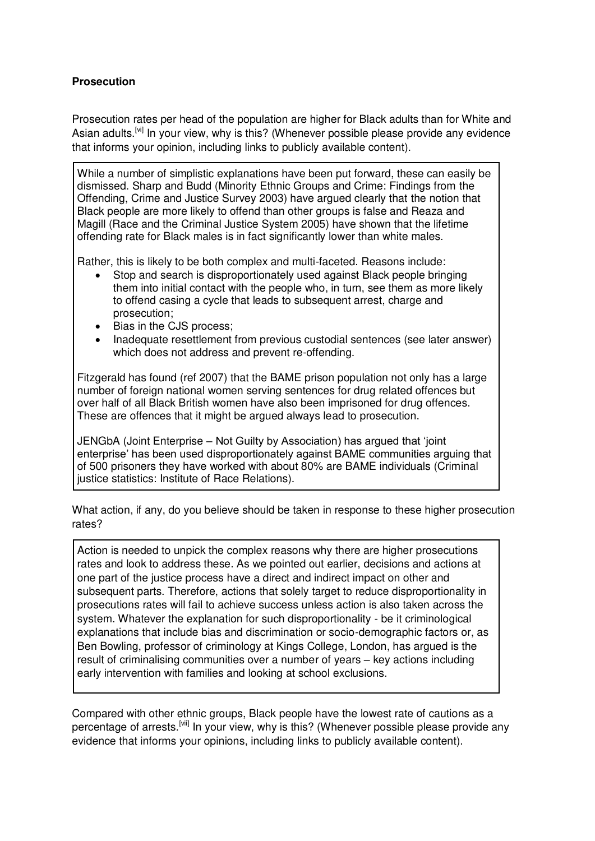## **Prosecution**

Prosecution rates per head of the population are higher for Black adults than for White and Asian adults.<sup>[vi]</sup> In your view, why is this? (Whenever possible please provide any evidence that informs your opinion, including links to publicly available content).

While a number of simplistic explanations have been put forward, these can easily be dismissed. Sharp and Budd (Minority Ethnic Groups and Crime: Findings from the Offending, Crime and Justice Survey 2003) have argued clearly that the notion that Black people are more likely to offend than other groups is false and Reaza and Magill (Race and the Criminal Justice System 2005) have shown that the lifetime offending rate for Black males is in fact significantly lower than white males.

Rather, this is likely to be both complex and multi-faceted. Reasons include:

- Stop and search is disproportionately used against Black people bringing them into initial contact with the people who, in turn, see them as more likely to offend casing a cycle that leads to subsequent arrest, charge and prosecution;
- Bias in the CJS process;
- Inadequate resettlement from previous custodial sentences (see later answer) which does not address and prevent re-offending.

Fitzgerald has found (ref 2007) that the BAME prison population not only has a large number of foreign national women serving sentences for drug related offences but over half of all Black British women have also been imprisoned for drug offences. These are offences that it might be argued always lead to prosecution.

JENGbA (Joint Enterprise – Not Guilty by Association) has argued that 'joint enterprise' has been used disproportionately against BAME communities arguing that of 500 prisoners they have worked with about 80% are BAME individuals (Criminal justice statistics: Institute of Race Relations).

What action, if any, do you believe should be taken in response to these higher prosecution rates?

Action is needed to unpick the complex reasons why there are higher prosecutions rates and look to address these. As we pointed out earlier, decisions and actions at one part of the justice process have a direct and indirect impact on other and subsequent parts. Therefore, actions that solely target to reduce disproportionality in prosecutions rates will fail to achieve success unless action is also taken across the system. Whatever the explanation for such disproportionality - be it criminological explanations that include bias and discrimination or socio-demographic factors or, as Ben Bowling, professor of criminology at Kings College, London, has argued is the result of criminalising communities over a number of years – key actions including early intervention with families and looking at school exclusions.

Compared with other ethnic groups, Black people have the lowest rate of cautions as a percentage of arrests.<sup>[vii]</sup> In your view, why is this? (Whenever possible please provide any evidence that informs your opinions, including links to publicly available content).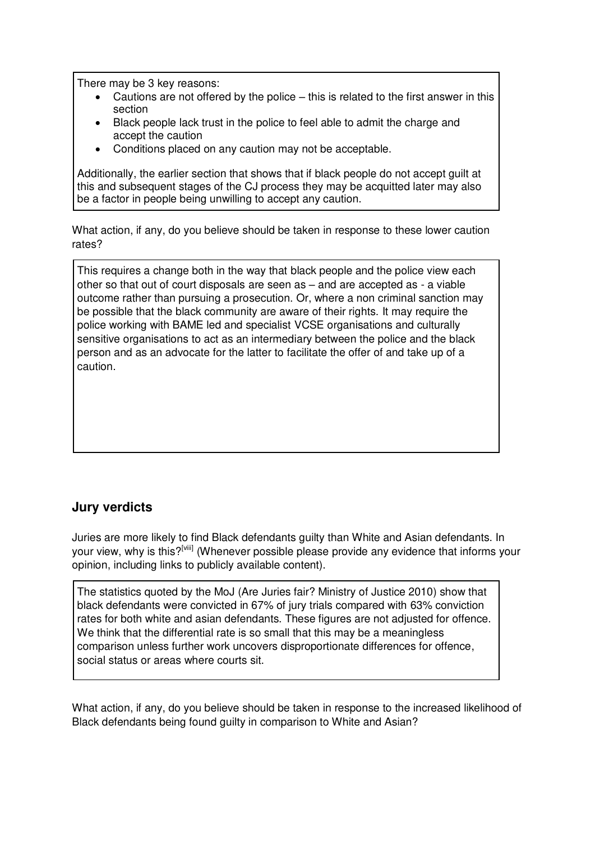There may be 3 key reasons:

- Cautions are not offered by the police this is related to the first answer in this section
- Black people lack trust in the police to feel able to admit the charge and accept the caution
- Conditions placed on any caution may not be acceptable.

Additionally, the earlier section that shows that if black people do not accept guilt at this and subsequent stages of the CJ process they may be acquitted later may also be a factor in people being unwilling to accept any caution.

What action, if any, do you believe should be taken in response to these lower caution rates?

This requires a change both in the way that black people and the police view each other so that out of court disposals are seen as – and are accepted as - a viable outcome rather than pursuing a prosecution. Or, where a non criminal sanction may be possible that the black community are aware of their rights. It may require the police working with BAME led and specialist VCSE organisations and culturally sensitive organisations to act as an intermediary between the police and the black person and as an advocate for the latter to facilitate the offer of and take up of a caution.

# **Jury verdicts**

Juries are more likely to find Black defendants guilty than White and Asian defendants. In your view, why is this?<sup>[viii]</sup> (Whenever possible please provide any evidence that informs your opinion, including links to publicly available content).

The statistics quoted by the MoJ (Are Juries fair? Ministry of Justice 2010) show that black defendants were convicted in 67% of jury trials compared with 63% conviction rates for both white and asian defendants. These figures are not adjusted for offence. We think that the differential rate is so small that this may be a meaningless comparison unless further work uncovers disproportionate differences for offence, social status or areas where courts sit.

What action, if any, do you believe should be taken in response to the increased likelihood of Black defendants being found guilty in comparison to White and Asian?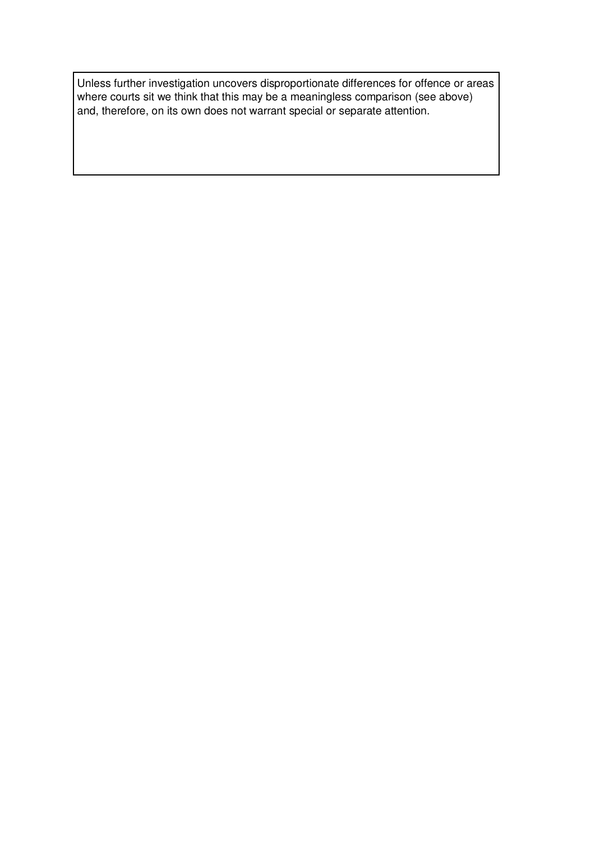Unless further investigation uncovers disproportionate differences for offence or areas where courts sit we think that this may be a meaningless comparison (see above) and, therefore, on its own does not warrant special or separate attention.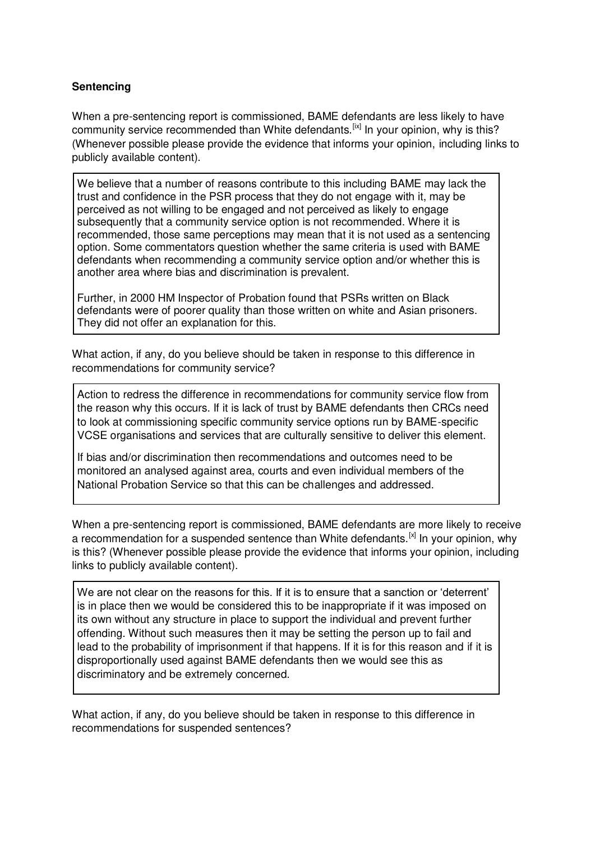## **Sentencing**

When a pre-sentencing report is commissioned, BAME defendants are less likely to have community service recommended than White defendants.<sup>[ix]</sup> In your opinion, why is this? (Whenever possible please provide the evidence that informs your opinion, including links to publicly available content).

We believe that a number of reasons contribute to this including BAME may lack the trust and confidence in the PSR process that they do not engage with it, may be perceived as not willing to be engaged and not perceived as likely to engage subsequently that a community service option is not recommended. Where it is recommended, those same perceptions may mean that it is not used as a sentencing option. Some commentators question whether the same criteria is used with BAME defendants when recommending a community service option and/or whether this is another area where bias and discrimination is prevalent.

Further, in 2000 HM Inspector of Probation found that PSRs written on Black defendants were of poorer quality than those written on white and Asian prisoners. They did not offer an explanation for this.

What action, if any, do you believe should be taken in response to this difference in recommendations for community service?

Action to redress the difference in recommendations for community service flow from the reason why this occurs. If it is lack of trust by BAME defendants then CRCs need to look at commissioning specific community service options run by BAME-specific VCSE organisations and services that are culturally sensitive to deliver this element.

If bias and/or discrimination then recommendations and outcomes need to be monitored an analysed against area, courts and even individual members of the National Probation Service so that this can be challenges and addressed.

When a pre-sentencing report is commissioned, BAME defendants are more likely to receive a recommendation for a suspended sentence than White defendants.  $[x]$  In your opinion, why is this? (Whenever possible please provide the evidence that informs your opinion, including links to publicly available content).

We are not clear on the reasons for this. If it is to ensure that a sanction or 'deterrent' is in place then we would be considered this to be inappropriate if it was imposed on its own without any structure in place to support the individual and prevent further offending. Without such measures then it may be setting the person up to fail and lead to the probability of imprisonment if that happens. If it is for this reason and if it is disproportionally used against BAME defendants then we would see this as discriminatory and be extremely concerned.

What action, if any, do you believe should be taken in response to this difference in recommendations for suspended sentences?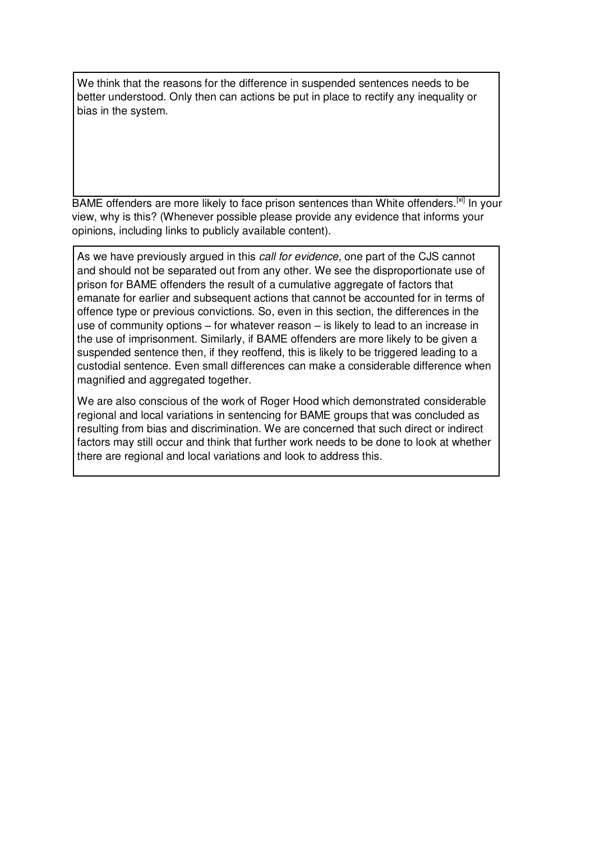We think that the reasons for the difference in suspended sentences needs to be better understood. Only then can actions be put in place to rectify any inequality or bias in the system.

BAME offenders are more likely to face prison sentences than White offenders.<sup>[xi]</sup> In your view, why is this? (Whenever possible please provide any evidence that informs your opinions, including links to publicly available content).

As we have previously argued in this *call for evidence*, one part of the CJS cannot and should not be separated out from any other. We see the disproportionate use of prison for BAME offenders the result of a cumulative aggregate of factors that emanate for earlier and subsequent actions that cannot be accounted for in terms of offence type or previous convictions. So, even in this section, the differences in the use of community options – for whatever reason – is likely to lead to an increase in the use of imprisonment. Similarly, if BAME offenders are more likely to be given a suspended sentence then, if they reoffend, this is likely to be triggered leading to a custodial sentence. Even small differences can make a considerable difference when magnified and aggregated together.

We are also conscious of the work of Roger Hood which demonstrated considerable regional and local variations in sentencing for BAME groups that was concluded as resulting from bias and discrimination. We are concerned that such direct or indirect factors may still occur and think that further work needs to be done to look at whether there are regional and local variations and look to address this.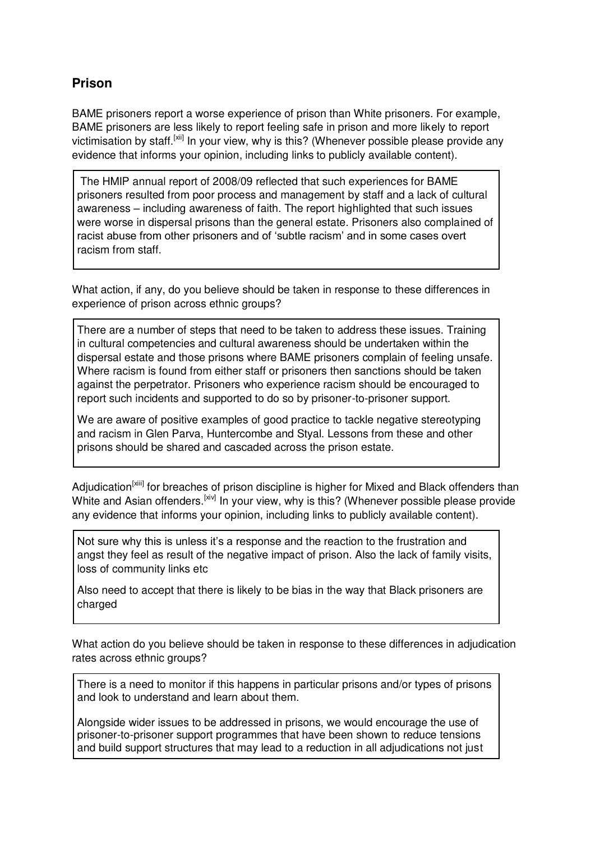# **Prison**

BAME prisoners report a worse experience of prison than White prisoners. For example, BAME prisoners are less likely to report feeling safe in prison and more likely to report victimisation by staff.<sup>[xii]</sup> In your view, why is this? (Whenever possible please provide any evidence that informs your opinion, including links to publicly available content).

 The HMIP annual report of 2008/09 reflected that such experiences for BAME prisoners resulted from poor process and management by staff and a lack of cultural awareness – including awareness of faith. The report highlighted that such issues were worse in dispersal prisons than the general estate. Prisoners also complained of racist abuse from other prisoners and of 'subtle racism' and in some cases overt racism from staff.

What action, if any, do you believe should be taken in response to these differences in experience of prison across ethnic groups?

There are a number of steps that need to be taken to address these issues. Training in cultural competencies and cultural awareness should be undertaken within the dispersal estate and those prisons where BAME prisoners complain of feeling unsafe. Where racism is found from either staff or prisoners then sanctions should be taken against the perpetrator. Prisoners who experience racism should be encouraged to report such incidents and supported to do so by prisoner-to-prisoner support.

We are aware of positive examples of good practice to tackle negative stereotyping and racism in Glen Parva, Huntercombe and Styal. Lessons from these and other prisons should be shared and cascaded across the prison estate.

Adjudication<sup>[xiii]</sup> for breaches of prison discipline is higher for Mixed and Black offenders than White and Asian offenders.<sup>[xiv]</sup> In your view, why is this? (Whenever possible please provide any evidence that informs your opinion, including links to publicly available content).

Not sure why this is unless it's a response and the reaction to the frustration and angst they feel as result of the negative impact of prison. Also the lack of family visits, loss of community links etc

Also need to accept that there is likely to be bias in the way that Black prisoners are charged

What action do you believe should be taken in response to these differences in adjudication rates across ethnic groups?

There is a need to monitor if this happens in particular prisons and/or types of prisons and look to understand and learn about them.

Alongside wider issues to be addressed in prisons, we would encourage the use of prisoner-to-prisoner support programmes that have been shown to reduce tensions and build support structures that may lead to a reduction in all adjudications not just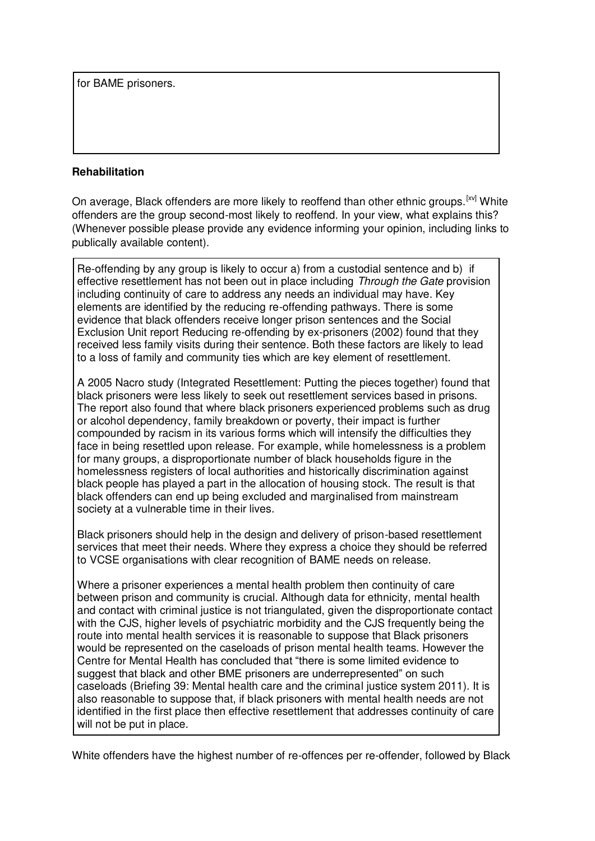for BAME prisoners.

### **Rehabilitation**

On average, Black offenders are more likely to reoffend than other ethnic groups.<sup>[xv]</sup> White offenders are the group second-most likely to reoffend. In your view, what explains this? (Whenever possible please provide any evidence informing your opinion, including links to publically available content).

Re-offending by any group is likely to occur a) from a custodial sentence and b) if effective resettlement has not been out in place including *Through the Gate* provision including continuity of care to address any needs an individual may have. Key elements are identified by the reducing re-offending pathways. There is some evidence that black offenders receive longer prison sentences and the Social Exclusion Unit report Reducing re-offending by ex-prisoners (2002) found that they received less family visits during their sentence. Both these factors are likely to lead to a loss of family and community ties which are key element of resettlement.

A 2005 Nacro study (Integrated Resettlement: Putting the pieces together) found that black prisoners were less likely to seek out resettlement services based in prisons. The report also found that where black prisoners experienced problems such as drug or alcohol dependency, family breakdown or poverty, their impact is further compounded by racism in its various forms which will intensify the difficulties they face in being resettled upon release. For example, while homelessness is a problem for many groups, a disproportionate number of black households figure in the homelessness registers of local authorities and historically discrimination against black people has played a part in the allocation of housing stock. The result is that black offenders can end up being excluded and marginalised from mainstream society at a vulnerable time in their lives.

Black prisoners should help in the design and delivery of prison-based resettlement services that meet their needs. Where they express a choice they should be referred to VCSE organisations with clear recognition of BAME needs on release.

Where a prisoner experiences a mental health problem then continuity of care between prison and community is crucial. Although data for ethnicity, mental health and contact with criminal justice is not triangulated, given the disproportionate contact with the CJS, higher levels of psychiatric morbidity and the CJS frequently being the route into mental health services it is reasonable to suppose that Black prisoners would be represented on the caseloads of prison mental health teams. However the Centre for Mental Health has concluded that "there is some limited evidence to suggest that black and other BME prisoners are underrepresented" on such caseloads (Briefing 39: Mental health care and the criminal justice system 2011). It is also reasonable to suppose that, if black prisoners with mental health needs are not identified in the first place then effective resettlement that addresses continuity of care will not be put in place.

White offenders have the highest number of re-offences per re-offender, followed by Black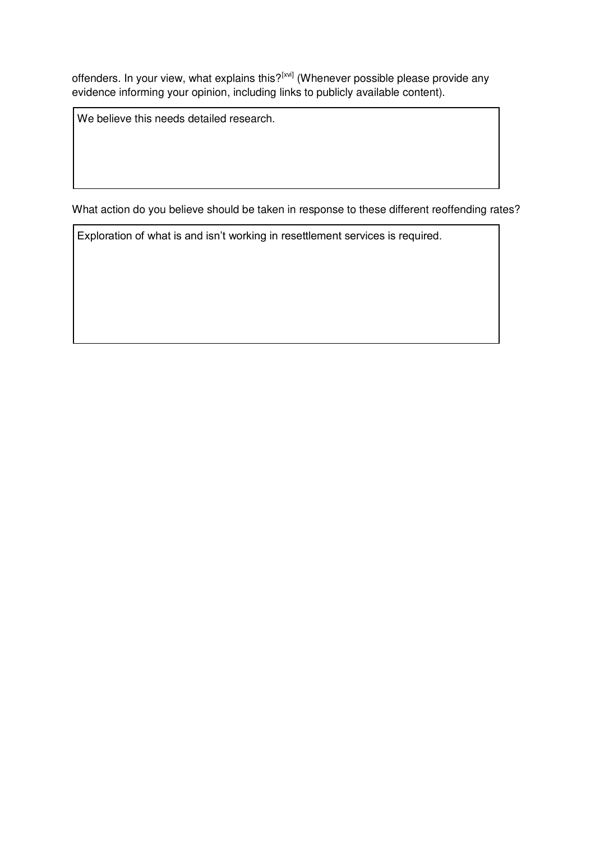offenders. In your view, what explains this?<sup>[xvi]</sup> (Whenever possible please provide any evidence informing your opinion, including links to publicly available content).

We believe this needs detailed research.

What action do you believe should be taken in response to these different reoffending rates?

Exploration of what is and isn't working in resettlement services is required.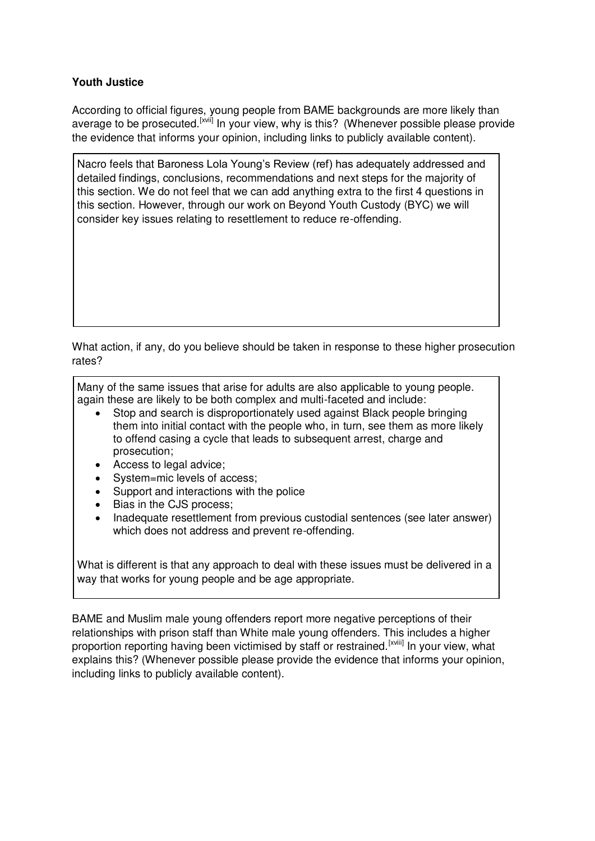## **Youth Justice**

According to official figures, young people from BAME backgrounds are more likely than average to be prosecuted.<sup>[xvii]</sup> In your view, why is this? (Whenever possible please provide the evidence that informs your opinion, including links to publicly available content).

Nacro feels that Baroness Lola Young's Review (ref) has adequately addressed and detailed findings, conclusions, recommendations and next steps for the majority of this section. We do not feel that we can add anything extra to the first 4 questions in this section. However, through our work on Beyond Youth Custody (BYC) we will consider key issues relating to resettlement to reduce re-offending.

What action, if any, do you believe should be taken in response to these higher prosecution rates?

Many of the same issues that arise for adults are also applicable to young people. again these are likely to be both complex and multi-faceted and include:

- Stop and search is disproportionately used against Black people bringing them into initial contact with the people who, in turn, see them as more likely to offend casing a cycle that leads to subsequent arrest, charge and prosecution;
- Access to legal advice;
- System=mic levels of access;
- Support and interactions with the police
- Bias in the CJS process;
- Inadequate resettlement from previous custodial sentences (see later answer) which does not address and prevent re-offending.

What is different is that any approach to deal with these issues must be delivered in a way that works for young people and be age appropriate.

BAME and Muslim male young offenders report more negative perceptions of their relationships with prison staff than White male young offenders. This includes a higher proportion reporting having been victimised by staff or restrained.<sup>[xviii]</sup> In your view, what explains this? (Whenever possible please provide the evidence that informs your opinion, including links to publicly available content).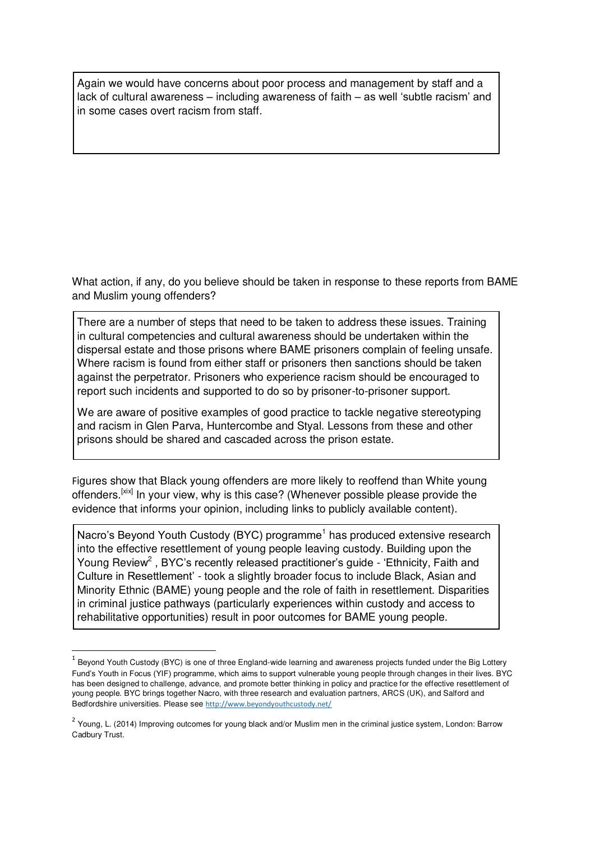Again we would have concerns about poor process and management by staff and a lack of cultural awareness – including awareness of faith – as well 'subtle racism' and in some cases overt racism from staff.

What action, if any, do you believe should be taken in response to these reports from BAME and Muslim young offenders?

There are a number of steps that need to be taken to address these issues. Training in cultural competencies and cultural awareness should be undertaken within the dispersal estate and those prisons where BAME prisoners complain of feeling unsafe. Where racism is found from either staff or prisoners then sanctions should be taken against the perpetrator. Prisoners who experience racism should be encouraged to report such incidents and supported to do so by prisoner-to-prisoner support.

We are aware of positive examples of good practice to tackle negative stereotyping and racism in Glen Parva, Huntercombe and Styal. Lessons from these and other prisons should be shared and cascaded across the prison estate.

Figures show that Black young offenders are more likely to reoffend than White young offenders.<sup>[xix]</sup> In your view, why is this case? (Whenever possible please provide the evidence that informs your opinion, including links to publicly available content).

Nacro's Beyond Youth Custody (BYC) programme<sup>1</sup> has produced extensive research into the effective resettlement of young people leaving custody. Building upon the Young Review<sup>2</sup>, BYC's recently released practitioner's guide - 'Ethnicity, Faith and Culture in Resettlement' - took a slightly broader focus to include Black, Asian and Minority Ethnic (BAME) young people and the role of faith in resettlement. Disparities in criminal justice pathways (particularly experiences within custody and access to rehabilitative opportunities) result in poor outcomes for BAME young people.

<u>.</u>

 $^1$  Beyond Youth Custody (BYC) is one of three England-wide learning and awareness projects funded under the Big Lottery Fund's Youth in Focus (YIF) programme, which aims to support vulnerable young people through changes in their lives. BYC has been designed to challenge, advance, and promote better thinking in policy and practice for the effective resettlement of young people. BYC brings together Nacro, with three research and evaluation partners, ARCS (UK), and Salford and Bedfordshire universities. Please see <http://www.beyondyouthcustody.net/>

<sup>&</sup>lt;sup>2</sup> Young, L. (2014) Improving outcomes for young black and/or Muslim men in the criminal justice system, London: Barrow Cadbury Trust.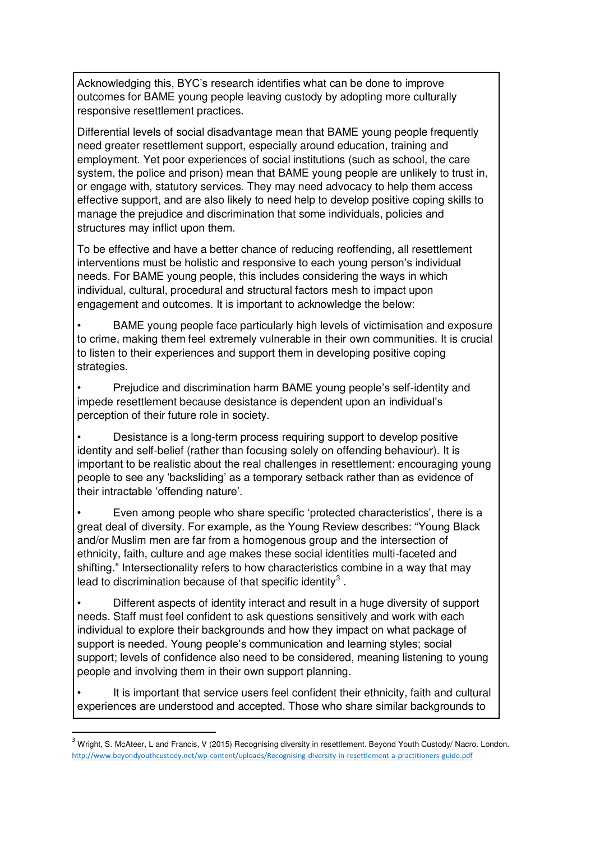Acknowledging this, BYC's research identifies what can be done to improve outcomes for BAME young people leaving custody by adopting more culturally responsive resettlement practices.

Differential levels of social disadvantage mean that BAME young people frequently need greater resettlement support, especially around education, training and employment. Yet poor experiences of social institutions (such as school, the care system, the police and prison) mean that BAME young people are unlikely to trust in, or engage with, statutory services. They may need advocacy to help them access effective support, and are also likely to need help to develop positive coping skills to manage the prejudice and discrimination that some individuals, policies and structures may inflict upon them.

To be effective and have a better chance of reducing reoffending, all resettlement interventions must be holistic and responsive to each young person's individual needs. For BAME young people, this includes considering the ways in which individual, cultural, procedural and structural factors mesh to impact upon engagement and outcomes. It is important to acknowledge the below:

• BAME young people face particularly high levels of victimisation and exposure to crime, making them feel extremely vulnerable in their own communities. It is crucial to listen to their experiences and support them in developing positive coping strategies.

• Prejudice and discrimination harm BAME young people's self-identity and impede resettlement because desistance is dependent upon an individual's perception of their future role in society.

• Desistance is a long-term process requiring support to develop positive identity and self-belief (rather than focusing solely on offending behaviour). It is important to be realistic about the real challenges in resettlement: encouraging young people to see any 'backsliding' as a temporary setback rather than as evidence of their intractable 'offending nature'.

• Even among people who share specific 'protected characteristics', there is a great deal of diversity. For example, as the Young Review describes: "Young Black and/or Muslim men are far from a homogenous group and the intersection of ethnicity, faith, culture and age makes these social identities multi-faceted and shifting." Intersectionality refers to how characteristics combine in a way that may lead to discrimination because of that specific identity<sup>3</sup>.

• Different aspects of identity interact and result in a huge diversity of support needs. Staff must feel confident to ask questions sensitively and work with each individual to explore their backgrounds and how they impact on what package of support is needed. Young people's communication and learning styles; social support; levels of confidence also need to be considered, meaning listening to young people and involving them in their own support planning.

It is important that service users feel confident their ethnicity, faith and cultural experiences are understood and accepted. Those who share similar backgrounds to

-

<sup>3</sup> Wright, S. McAteer, L and Francis, V (2015) Recognising diversity in resettlement. Beyond Youth Custody/ Nacro. London. <http://www.beyondyouthcustody.net/wp-content/uploads/Recognising-diversity-in-resettlement-a-practitioners-guide.pdf>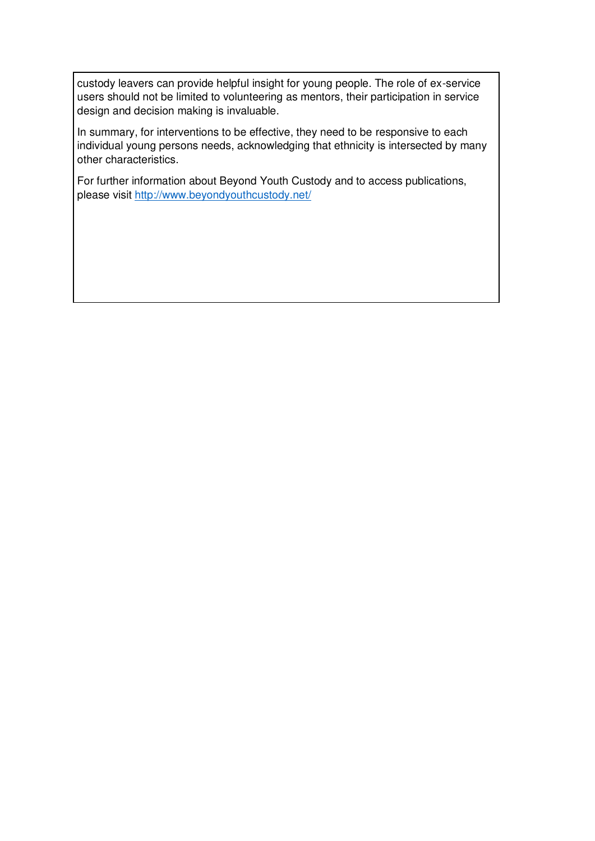custody leavers can provide helpful insight for young people. The role of ex-service users should not be limited to volunteering as mentors, their participation in service design and decision making is invaluable.

In summary, for interventions to be effective, they need to be responsive to each individual young persons needs, acknowledging that ethnicity is intersected by many other characteristics.

For further information about Beyond Youth Custody and to access publications, please visit<http://www.beyondyouthcustody.net/>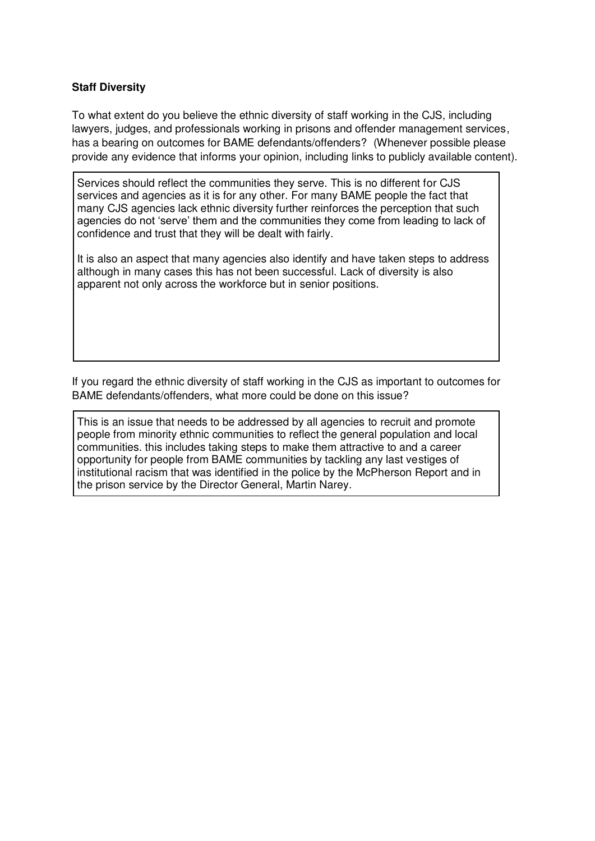## **Staff Diversity**

To what extent do you believe the ethnic diversity of staff working in the CJS, including lawyers, judges, and professionals working in prisons and offender management services, has a bearing on outcomes for BAME defendants/offenders? (Whenever possible please provide any evidence that informs your opinion, including links to publicly available content).

Services should reflect the communities they serve. This is no different for CJS services and agencies as it is for any other. For many BAME people the fact that many CJS agencies lack ethnic diversity further reinforces the perception that such agencies do not 'serve' them and the communities they come from leading to lack of confidence and trust that they will be dealt with fairly.

It is also an aspect that many agencies also identify and have taken steps to address although in many cases this has not been successful. Lack of diversity is also apparent not only across the workforce but in senior positions.

If you regard the ethnic diversity of staff working in the CJS as important to outcomes for BAME defendants/offenders, what more could be done on this issue?

This is an issue that needs to be addressed by all agencies to recruit and promote people from minority ethnic communities to reflect the general population and local communities. this includes taking steps to make them attractive to and a career opportunity for people from BAME communities by tackling any last vestiges of institutional racism that was identified in the police by the McPherson Report and in the prison service by the Director General, Martin Narey.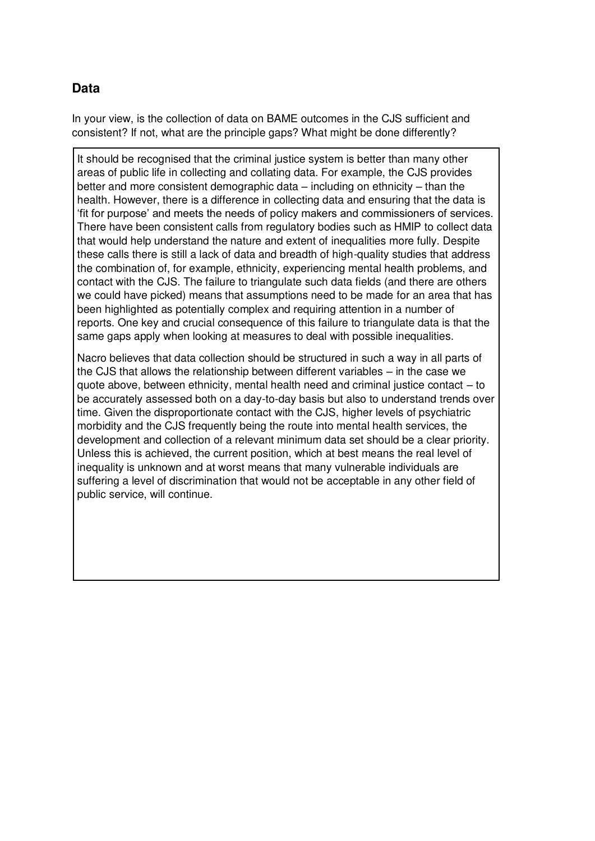## **Data**

In your view, is the collection of data on BAME outcomes in the CJS sufficient and consistent? If not, what are the principle gaps? What might be done differently?

It should be recognised that the criminal justice system is better than many other areas of public life in collecting and collating data. For example, the CJS provides better and more consistent demographic data – including on ethnicity – than the health. However, there is a difference in collecting data and ensuring that the data is 'fit for purpose' and meets the needs of policy makers and commissioners of services. There have been consistent calls from regulatory bodies such as HMIP to collect data that would help understand the nature and extent of inequalities more fully. Despite these calls there is still a lack of data and breadth of high-quality studies that address the combination of, for example, ethnicity, experiencing mental health problems, and contact with the CJS. The failure to triangulate such data fields (and there are others we could have picked) means that assumptions need to be made for an area that has been highlighted as potentially complex and requiring attention in a number of reports. One key and crucial consequence of this failure to triangulate data is that the same gaps apply when looking at measures to deal with possible inequalities.

Nacro believes that data collection should be structured in such a way in all parts of the CJS that allows the relationship between different variables – in the case we quote above, between ethnicity, mental health need and criminal justice contact – to be accurately assessed both on a day-to-day basis but also to understand trends over time. Given the disproportionate contact with the CJS, higher levels of psychiatric morbidity and the CJS frequently being the route into mental health services, the development and collection of a relevant minimum data set should be a clear priority. Unless this is achieved, the current position, which at best means the real level of inequality is unknown and at worst means that many vulnerable individuals are suffering a level of discrimination that would not be acceptable in any other field of public service, will continue.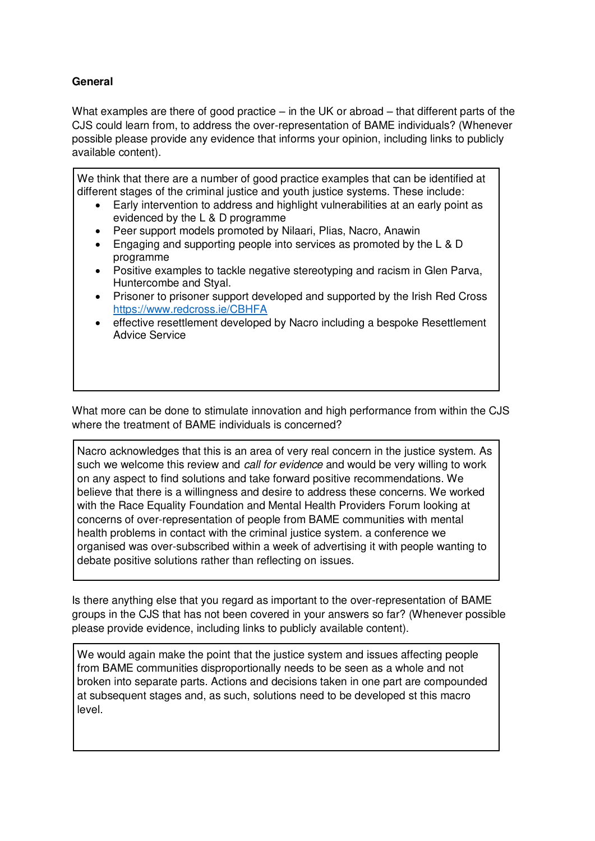## **General**

What examples are there of good practice – in the UK or abroad – that different parts of the CJS could learn from, to address the over-representation of BAME individuals? (Whenever possible please provide any evidence that informs your opinion, including links to publicly available content).

We think that there are a number of good practice examples that can be identified at different stages of the criminal justice and youth justice systems. These include:

- Early intervention to address and highlight vulnerabilities at an early point as evidenced by the L & D programme
- Peer support models promoted by Nilaari, Plias, Nacro, Anawin
- Engaging and supporting people into services as promoted by the L & D programme
- Positive examples to tackle negative stereotyping and racism in Glen Parva, Huntercombe and Styal.
- Prisoner to prisoner support developed and supported by the Irish Red Cross <https://www.redcross.ie/CBHFA>
- effective resettlement developed by Nacro including a bespoke Resettlement Advice Service

What more can be done to stimulate innovation and high performance from within the CJS where the treatment of BAME individuals is concerned?

Nacro acknowledges that this is an area of very real concern in the justice system. As such we welcome this review and *call for evidence* and would be very willing to work on any aspect to find solutions and take forward positive recommendations. We believe that there is a willingness and desire to address these concerns. We worked with the Race Equality Foundation and Mental Health Providers Forum looking at concerns of over-representation of people from BAME communities with mental health problems in contact with the criminal justice system. a conference we organised was over-subscribed within a week of advertising it with people wanting to debate positive solutions rather than reflecting on issues.

Is there anything else that you regard as important to the over-representation of BAME groups in the CJS that has not been covered in your answers so far? (Whenever possible please provide evidence, including links to publicly available content).

We would again make the point that the justice system and issues affecting people from BAME communities disproportionally needs to be seen as a whole and not broken into separate parts. Actions and decisions taken in one part are compounded at subsequent stages and, as such, solutions need to be developed st this macro level.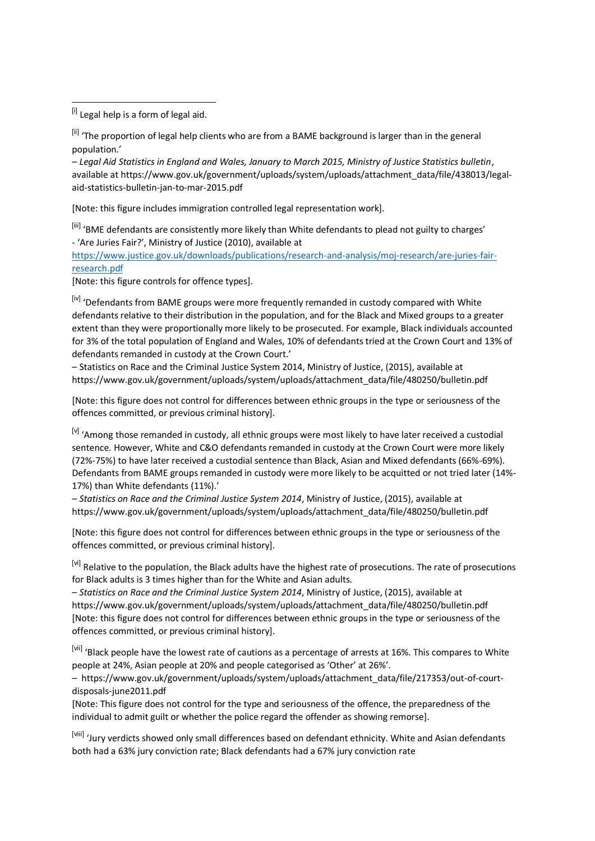[i] Legal help is a form of legal aid.

<u>.</u>

[ii] 'The proportion of legal help clients who are from a BAME background is larger than in the general population.

– *Legal Aid Statistics in England and Wales, January to March 2015, Ministry of Justice Statistics bulletin*, available at https://www.gov.uk/government/uploads/system/uploads/attachment\_data/file/438013/legalaid-statistics-bulletin-jan-to-mar-2015.pdf

[Note: this figure includes immigration controlled legal representation work].

[iii] 'BME defendants are consistently more likely than White defendants to plead not guilty to charges' - 'Are Juries Fair?', Ministry of Justice (2010), available at

[https://www.justice.gov.uk/downloads/publications/research-and-analysis/moj-research/are-juries-fair](https://www.justice.gov.uk/downloads/publications/research-and-analysis/moj-research/are-juries-fair-research.pdf)[research.pdf](https://www.justice.gov.uk/downloads/publications/research-and-analysis/moj-research/are-juries-fair-research.pdf)

[Note: this figure controls for offence types].

[iv] 'Defendants from BAME groups were more frequently remanded in custody compared with White defendants relative to their distribution in the population, and for the Black and Mixed groups to a greater extent than they were proportionally more likely to be prosecuted. For example, Black individuals accounted for 3% of the total population of England and Wales, 10% of defendants tried at the Crown Court and 13% of defendants remanded in custody at the Crown Court.'

– Statistics on Race and the Criminal Justice System 2014, Ministry of Justice, (2015), available at https://www.gov.uk/government/uploads/system/uploads/attachment\_data/file/480250/bulletin.pdf

[Note: this figure does not control for differences between ethnic groups in the type or seriousness of the offences committed, or previous criminal history].

[v] 'Among those remanded in custody, all ethnic groups were most likely to have later received a custodial sentence. However, White and C&O defendants remanded in custody at the Crown Court were more likely (72%-75%) to have later received a custodial sentence than Black, Asian and Mixed defendants (66%-69%). Defendants from BAME groups remanded in custody were more likely to be acquitted or not tried later (14%- 17%) than White defendants (11%).'

– *Statistics on Race and the Criminal Justice System 2014*, Ministry of Justice, (2015), available at https://www.gov.uk/government/uploads/system/uploads/attachment\_data/file/480250/bulletin.pdf

[Note: this figure does not control for differences between ethnic groups in the type or seriousness of the offences committed, or previous criminal history].

<sup>[vi]</sup> Relative to the population, the Black adults have the highest rate of prosecutions. The rate of prosecutions for Black adults is 3 times higher than for the White and Asian adults.

– *Statistics on Race and the Criminal Justice System 2014*, Ministry of Justice, (2015), available at https://www.gov.uk/government/uploads/system/uploads/attachment\_data/file/480250/bulletin.pdf [Note: this figure does not control for differences between ethnic groups in the type or seriousness of the offences committed, or previous criminal history].

[vii] 'Black people have the lowest rate of cautions as a percentage of arrests at 16%. This compares to White people at 24%, Asian people at 20% and people categorised as 'Other' at 26%'.

– https://www.gov.uk/government/uploads/system/uploads/attachment\_data/file/217353/out-of-courtdisposals-june2011.pdf

[Note: This figure does not control for the type and seriousness of the offence, the preparedness of the individual to admit guilt or whether the police regard the offender as showing remorse].

[viii] 'Jurv verdicts showed only small differences based on defendant ethnicity. White and Asian defendants both had a 63% jury conviction rate; Black defendants had a 67% jury conviction rate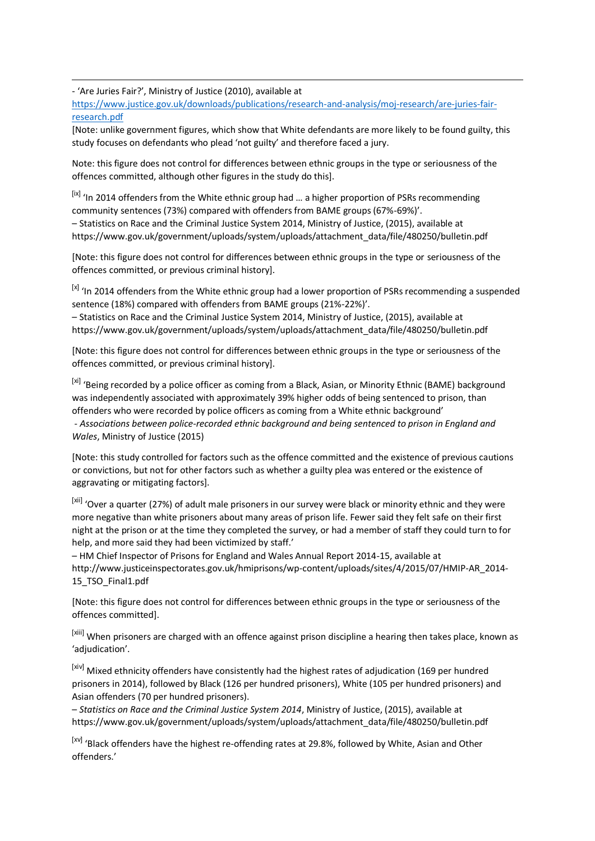- 'Are Juries Fair?', Ministry of Justice (2010), available at

<u>.</u>

[https://www.justice.gov.uk/downloads/publications/research-and-analysis/moj-research/are-juries-fair](https://www.justice.gov.uk/downloads/publications/research-and-analysis/moj-research/are-juries-fair-research.pdf)[research.pdf](https://www.justice.gov.uk/downloads/publications/research-and-analysis/moj-research/are-juries-fair-research.pdf) 

[Note: unlike government figures, which show that White defendants are more likely to be found guilty, this study focuses on defendants who plead 'not guilty' and therefore faced a jury.

Note: this figure does not control for differences between ethnic groups in the type or seriousness of the offences committed, although other figures in the study do this].

[ix] 'In 2014 offenders from the White ethnic group had ... a higher proportion of PSRs recommending community sentences (73%) compared with offenders from BAME groups (67%-69%)'. – Statistics on Race and the Criminal Justice System 2014, Ministry of Justice, (2015), available at https://www.gov.uk/government/uploads/system/uploads/attachment\_data/file/480250/bulletin.pdf

[Note: this figure does not control for differences between ethnic groups in the type or seriousness of the offences committed, or previous criminal history].

[x] 'In 2014 offenders from the White ethnic group had a lower proportion of PSRs recommending a suspended sentence (18%) compared with offenders from BAME groups (21%-22%)'.

– Statistics on Race and the Criminal Justice System 2014, Ministry of Justice, (2015), available at https://www.gov.uk/government/uploads/system/uploads/attachment\_data/file/480250/bulletin.pdf

[Note: this figure does not control for differences between ethnic groups in the type or seriousness of the offences committed, or previous criminal history].

[xi] 'Being recorded by a police officer as coming from a Black, Asian, or Minority Ethnic (BAME) background was independently associated with approximately 39% higher odds of being sentenced to prison, than offenders who were recorded by police officers as coming from a White ethnic background' - *Associations between police-recorded ethnic background and being sentenced to prison in England and Wales*, Ministry of Justice (2015)

[Note: this study controlled for factors such as the offence committed and the existence of previous cautions or convictions, but not for other factors such as whether a guilty plea was entered or the existence of aggravating or mitigating factors].

[xii] 'Over a quarter (27%) of adult male prisoners in our survey were black or minority ethnic and they were more negative than white prisoners about many areas of prison life. Fewer said they felt safe on their first night at the prison or at the time they completed the survey, or had a member of staff they could turn to for help, and more said they had been victimized by staff.'

– HM Chief Inspector of Prisons for England and Wales Annual Report 2014-15, available at http://www.justiceinspectorates.gov.uk/hmiprisons/wp-content/uploads/sites/4/2015/07/HMIP-AR\_2014- 15\_TSO\_Final1.pdf

[Note: this figure does not control for differences between ethnic groups in the type or seriousness of the offences committed].

[xiii] When prisoners are charged with an offence against prison discipline a hearing then takes place, known as 'adjudication'.

[xiv] Mixed ethnicity offenders have consistently had the highest rates of adjudication (169 per hundred prisoners in 2014), followed by Black (126 per hundred prisoners), White (105 per hundred prisoners) and Asian offenders (70 per hundred prisoners).

– *Statistics on Race and the Criminal Justice System 2014*, Ministry of Justice, (2015), available at https://www.gov.uk/government/uploads/system/uploads/attachment\_data/file/480250/bulletin.pdf

[xv] 'Black offenders have the highest re-offending rates at 29.8%, followed by White, Asian and Other offenders.'